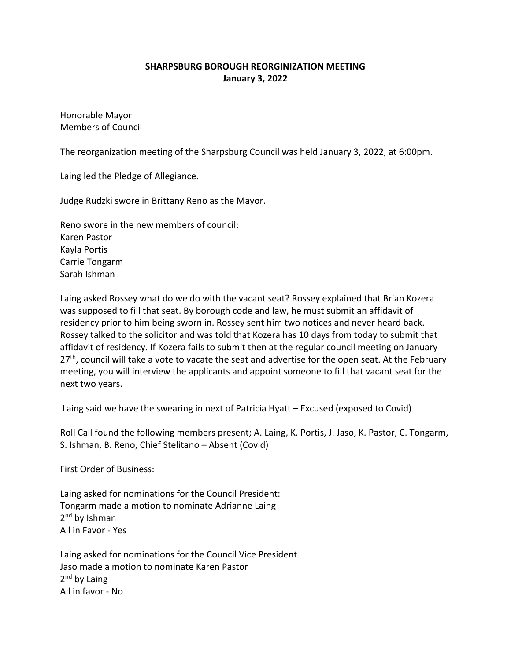## **SHARPSBURG BOROUGH REORGINIZATION MEETING January 3, 2022**

Honorable Mayor Members of Council

The reorganization meeting of the Sharpsburg Council was held January 3, 2022, at 6:00pm.

Laing led the Pledge of Allegiance.

Judge Rudzki swore in Brittany Reno as the Mayor.

Reno swore in the new members of council: Karen Pastor Kayla Portis Carrie Tongarm Sarah Ishman

Laing asked Rossey what do we do with the vacant seat? Rossey explained that Brian Kozera was supposed to fill that seat. By borough code and law, he must submit an affidavit of residency prior to him being sworn in. Rossey sent him two notices and never heard back. Rossey talked to the solicitor and was told that Kozera has 10 days from today to submit that affidavit of residency. If Kozera fails to submit then at the regular council meeting on January  $27<sup>th</sup>$ , council will take a vote to vacate the seat and advertise for the open seat. At the February meeting, you will interview the applicants and appoint someone to fill that vacant seat for the next two years.

Laing said we have the swearing in next of Patricia Hyatt – Excused (exposed to Covid)

Roll Call found the following members present; A. Laing, K. Portis, J. Jaso, K. Pastor, C. Tongarm, S. Ishman, B. Reno, Chief Stelitano – Absent (Covid)

First Order of Business:

Laing asked for nominations for the Council President: Tongarm made a motion to nominate Adrianne Laing 2<sup>nd</sup> by Ishman All in Favor - Yes

Laing asked for nominations for the Council Vice President Jaso made a motion to nominate Karen Pastor  $2<sup>nd</sup>$  by Laing All in favor - No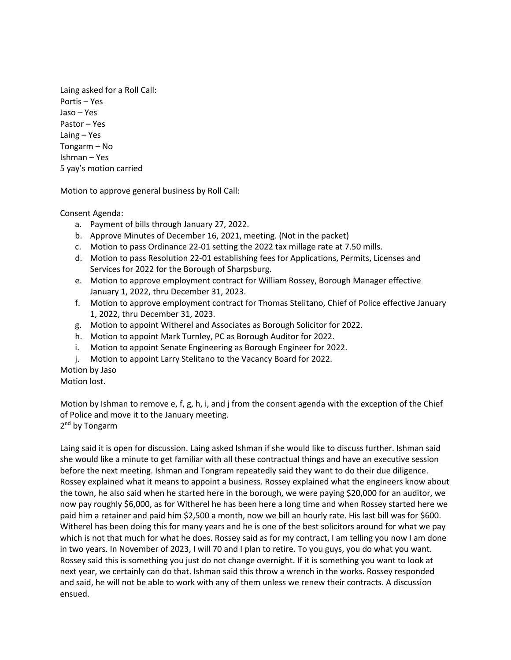Laing asked for a Roll Call: Portis – Yes Jaso – Yes Pastor – Yes Laing – Yes Tongarm – No Ishman – Yes 5 yay's motion carried

Motion to approve general business by Roll Call:

Consent Agenda:

- a. Payment of bills through January 27, 2022.
- b. Approve Minutes of December 16, 2021, meeting. (Not in the packet)
- c. Motion to pass Ordinance 22-01 setting the 2022 tax millage rate at 7.50 mills.
- d. Motion to pass Resolution 22-01 establishing fees for Applications, Permits, Licenses and Services for 2022 for the Borough of Sharpsburg.
- e. Motion to approve employment contract for William Rossey, Borough Manager effective January 1, 2022, thru December 31, 2023.
- f. Motion to approve employment contract for Thomas Stelitano, Chief of Police effective January 1, 2022, thru December 31, 2023.
- g. Motion to appoint Witherel and Associates as Borough Solicitor for 2022.
- h. Motion to appoint Mark Turnley, PC as Borough Auditor for 2022.
- i. Motion to appoint Senate Engineering as Borough Engineer for 2022.
- j. Motion to appoint Larry Stelitano to the Vacancy Board for 2022.

Motion by Jaso Motion lost.

Motion by Ishman to remove e, f, g, h, i, and j from the consent agenda with the exception of the Chief of Police and move it to the January meeting.

2<sup>nd</sup> by Tongarm

Laing said it is open for discussion. Laing asked Ishman if she would like to discuss further. Ishman said she would like a minute to get familiar with all these contractual things and have an executive session before the next meeting. Ishman and Tongram repeatedly said they want to do their due diligence. Rossey explained what it means to appoint a business. Rossey explained what the engineers know about the town, he also said when he started here in the borough, we were paying \$20,000 for an auditor, we now pay roughly \$6,000, as for Witherel he has been here a long time and when Rossey started here we paid him a retainer and paid him \$2,500 a month, now we bill an hourly rate. His last bill was for \$600. Witherel has been doing this for many years and he is one of the best solicitors around for what we pay which is not that much for what he does. Rossey said as for my contract, I am telling you now I am done in two years. In November of 2023, I will 70 and I plan to retire. To you guys, you do what you want. Rossey said this is something you just do not change overnight. If it is something you want to look at next year, we certainly can do that. Ishman said this throw a wrench in the works. Rossey responded and said, he will not be able to work with any of them unless we renew their contracts. A discussion ensued.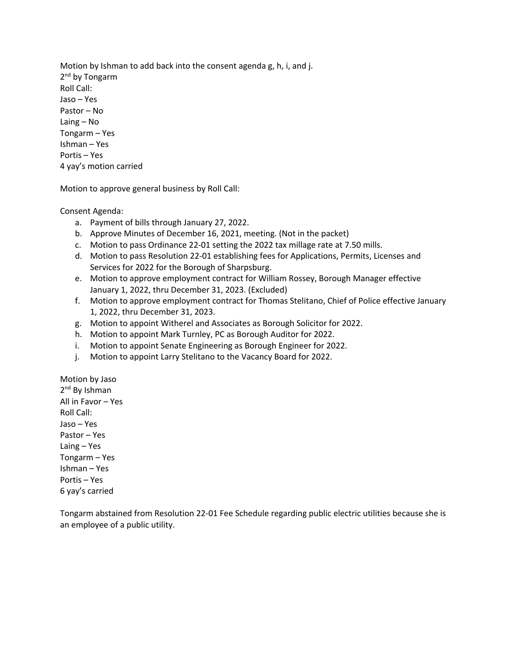Motion by Ishman to add back into the consent agenda g, h, i, and j. 2<sup>nd</sup> by Tongarm Roll Call: Jaso – Yes Pastor – No Laing – No Tongarm – Yes Ishman – Yes Portis – Yes 4 yay's motion carried

Motion to approve general business by Roll Call:

Consent Agenda:

- a. Payment of bills through January 27, 2022.
- b. Approve Minutes of December 16, 2021, meeting. (Not in the packet)
- c. Motion to pass Ordinance 22-01 setting the 2022 tax millage rate at 7.50 mills.
- d. Motion to pass Resolution 22-01 establishing fees for Applications, Permits, Licenses and Services for 2022 for the Borough of Sharpsburg.
- e. Motion to approve employment contract for William Rossey, Borough Manager effective January 1, 2022, thru December 31, 2023. (Excluded)
- f. Motion to approve employment contract for Thomas Stelitano, Chief of Police effective January 1, 2022, thru December 31, 2023.
- g. Motion to appoint Witherel and Associates as Borough Solicitor for 2022.
- h. Motion to appoint Mark Turnley, PC as Borough Auditor for 2022.
- i. Motion to appoint Senate Engineering as Borough Engineer for 2022.
- j. Motion to appoint Larry Stelitano to the Vacancy Board for 2022.

Motion by Jaso 2<sup>nd</sup> By Ishman All in Favor – Yes Roll Call: Jaso – Yes Pastor – Yes Laing – Yes Tongarm – Yes Ishman – Yes Portis – Yes 6 yay's carried

Tongarm abstained from Resolution 22-01 Fee Schedule regarding public electric utilities because she is an employee of a public utility.